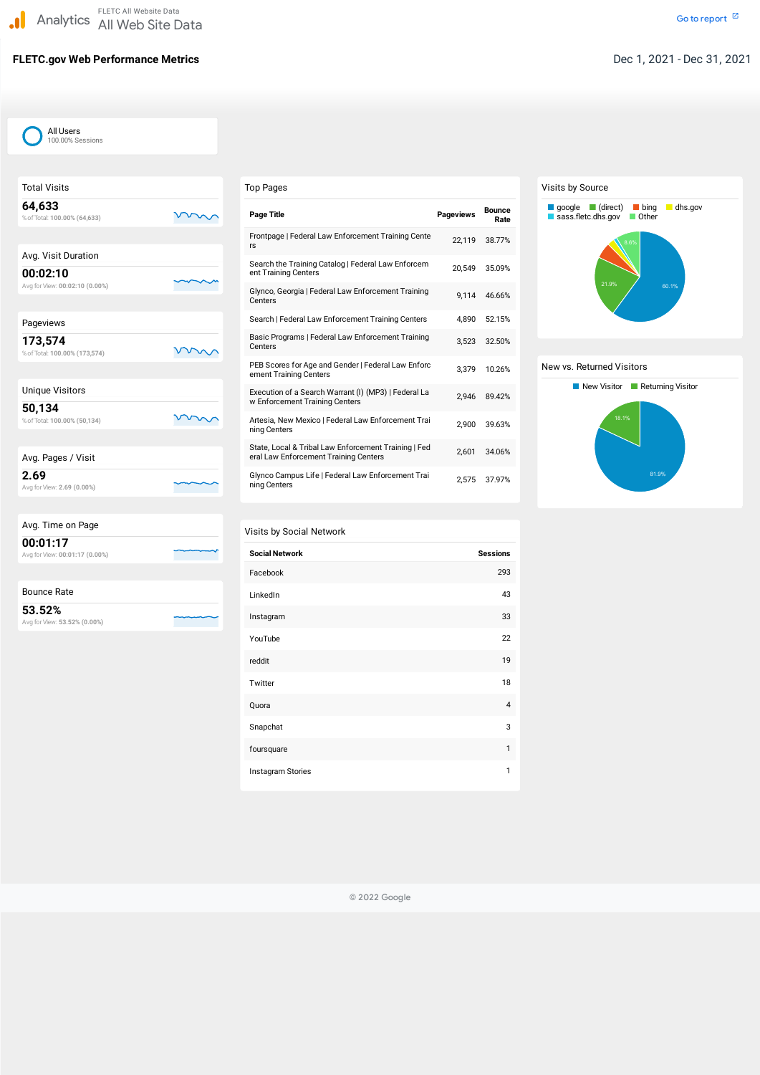## **FLETC.gov Web Performance Metrics** Dec 1, 2021 - Dec 31, 2021

| <b>Total Visits</b>                        |  |
|--------------------------------------------|--|
| 64,633<br>% of Total: 100.00% (64,633)     |  |
|                                            |  |
| Avg. Visit Duration                        |  |
| 00:02:10<br>Avg for View: 00:02:10 (0.00%) |  |
|                                            |  |
| Pageviews                                  |  |
| 173,574<br>% of Total: 100.00% (173,574)   |  |
|                                            |  |
| <b>Unique Visitors</b>                     |  |
| 50,134<br>% of Total: 100.00% (50,134)     |  |
|                                            |  |
| Avg. Pages / Visit                         |  |
| 2.69<br>Avg for View: 2.69 (0.00%)         |  |
|                                            |  |

| Avg. Time on Page                          |
|--------------------------------------------|
| 00:01:17<br>Avg for View: 00:01:17 (0.00%) |
|                                            |

| <b>Bounce Rate</b> |  |
|--------------------|--|
|--------------------|--|

**53.52%** Avg forView: **53.52% (0.00%)**

| <b>Top Pages</b>                                                                              |                  |                       |
|-----------------------------------------------------------------------------------------------|------------------|-----------------------|
| <b>Page Title</b>                                                                             | <b>Pageviews</b> | <b>Bounce</b><br>Rate |
| Frontpage   Federal Law Enforcement Training Cente<br>rs                                      | 22,119           | 38.77%                |
| Search the Training Catalog   Federal Law Enforcem<br>ent Training Centers                    | 20,549           | 35.09%                |
| Glynco, Georgia   Federal Law Enforcement Training<br>Centers                                 | 9,114            | 46.66%                |
| Search   Federal Law Enforcement Training Centers                                             | 4.890            | 52.15%                |
| Basic Programs   Federal Law Enforcement Training<br>Centers                                  | 3,523            | 32.50%                |
| PEB Scores for Age and Gender   Federal Law Enforc<br>ement Training Centers                  | 3,379            | 10.26%                |
| Execution of a Search Warrant (I) (MP3)   Federal La<br>w Enforcement Training Centers        | 2,946            | 89.42%                |
| Artesia, New Mexico   Federal Law Enforcement Trai<br>ning Centers                            | 2,900            | 39.63%                |
| State, Local & Tribal Law Enforcement Training   Fed<br>eral Law Enforcement Training Centers | 2,601            | 34.06%                |
| Glynco Campus Life   Federal Law Enforcement Trai<br>ning Centers                             | 2,575            | 37.97%                |

### Visits by Social Network

| <b>Social Network</b> | <b>Sessions</b> |
|-----------------------|-----------------|
| Facebook              | 293             |
| LinkedIn              | 43              |
| Instagram             | 33              |
| YouTube               | 22              |
| reddit                | 19              |
| Twitter               | 18              |
| Quora                 | $\overline{4}$  |
| Snapchat              | 3               |

#### Visits by Source

#### New vs. Returned Visitors





foursquare the contract of the contract of the contract of the contract of the contract of the contract of the contract of the contract of the contract of the contract of the contract of the contract of the contract of the **Instagram Stories** 1

© 2022 Google

All Users 100.00% Sessions